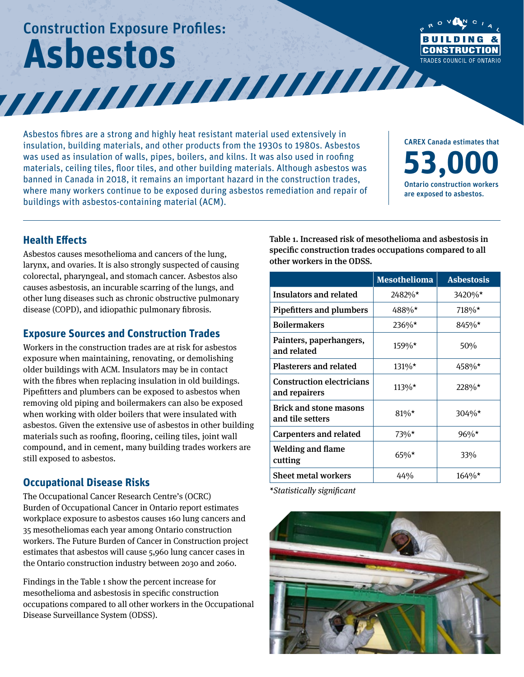# Construction Exposure Profiles: **Asbestos**



Asbestos fibres are a strong and highly heat resistant material used extensively in insulation, building materials, and other products from the 1930s to 1980s. Asbestos was used as insulation of walls, pipes, boilers, and kilns. It was also used in roofing materials, ceiling tiles, floor tiles, and other building materials. Although asbestos was banned in Canada in 2018, it remains an important hazard in the construction trades, where many workers continue to be exposed during asbestos remediation and repair of buildings with asbestos-containing material (ACM).

CAREX Canada estimates that **53,000** Ontario construction workers are exposed to asbestos.

#### **Health Effects**

Asbestos causes mesothelioma and cancers of the lung, larynx, and ovaries. It is also strongly suspected of causing colorectal, pharyngeal, and stomach cancer. Asbestos also causes asbestosis, an incurable scarring of the lungs, and other lung diseases such as chronic obstructive pulmonary disease (COPD), and idiopathic pulmonary fibrosis.

#### **Exposure Sources and Construction Trades**

Workers in the construction trades are at risk for asbestos exposure when maintaining, renovating, or demolishing older buildings with ACM. Insulators may be in contact with the fibres when replacing insulation in old buildings. Pipefitters and plumbers can be exposed to asbestos when removing old piping and boilermakers can also be exposed when working with older boilers that were insulated with asbestos. Given the extensive use of asbestos in other building materials such as roofing, flooring, ceiling tiles, joint wall compound, and in cement, many building trades workers are still exposed to asbestos.

### **Occupational Disease Risks**

The Occupational Cancer Research Centre's (OCRC) Burden of Occupational Cancer in Ontario report estimates workplace exposure to asbestos causes 160 lung cancers and 35 mesotheliomas each year among Ontario construction workers. The Future Burden of Cancer in Construction project estimates that asbestos will cause 5,960 lung cancer cases in the Ontario construction industry between 2030 and 2060.

Findings in the Table 1 show the percent increase for mesothelioma and asbestosis in specific construction occupations compared to all other workers in the Occupational Disease Surveillance System (ODSS).

Table 1. Increased risk of mesothelioma and asbestosis in specific construction trades occupations compared to all other workers in the ODSS.

|                                                   | <b>Mesothelioma</b> | <b>Asbestosis</b> |
|---------------------------------------------------|---------------------|-------------------|
| <b>Insulators and related</b>                     | 2482%*              | 3420%*            |
| <b>Pipefitters and plumbers</b>                   | 488%*               | 718%*             |
| <b>Boilermakers</b>                               | $236\%*$            | $845\%*$          |
| Painters, paperhangers,<br>and related            | $159\%*$            | 50%               |
| <b>Plasterers and related</b>                     | $131\%*$            | 458%*             |
| <b>Construction electricians</b><br>and repairers | $113\%*$            | 228%*             |
| <b>Brick and stone masons</b><br>and tile setters | $81\%*$             | $304\%$ *         |
| <b>Carpenters and related</b>                     | 73%*                | $96\%*$           |
| <b>Welding and flame</b><br>cutting               | $65\%*$             | 33%               |
| <b>Sheet metal workers</b>                        | 44%                 | $164\%*$          |

*\*Statistically significant*